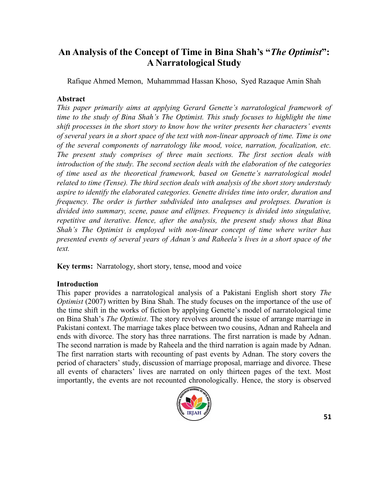# **An Analysis of the Concept of Time in Bina Shah's "***The Optimist***": A Narratological Study**

Rafique Ahmed Memon, Muhammmad Hassan Khoso, Syed Razaque Amin Shah

# **Abstract**

*This paper primarily aims at applying Gerard Genette's narratological framework of time to the study of Bina Shah's The Optimist. This study focuses to highlight the time shift processes in the short story to know how the writer presents her characters' events of several years in a short space of the text with non-linear approach of time. Time is one of the several components of narratology like mood, voice, narration, focalization, etc. The present study comprises of three main sections. The first section deals with introduction of the study. The second section deals with the elaboration of the categories of time used as the theoretical framework, based on Genette's narratological model related to time (Tense). The third section deals with analysis of the short story understudy aspire to identify the elaborated categories. Genette divides time into order, duration and frequency. The order is further subdivided into analepses and prolepses. Duration is divided into summary, scene, pause and ellipses. Frequency is divided into singulative, repetitive and iterative. Hence, after the analysis, the present study shows that Bina Shah's The Optimist is employed with non-linear concept of time where writer has presented events of several years of Adnan's and Raheela's lives in a short space of the text.*

**Key terms:** Narratology, short story, tense, mood and voice

# **Introduction**

This paper provides a narratological analysis of a Pakistani English short story *The Optimist* (2007) written by Bina Shah. The study focuses on the importance of the use of the time shift in the works of fiction by applying Genette's model of narratological time on Bina Shah's *The Optimist*. The story revolves around the issue of arrange marriage in Pakistani context. The marriage takes place between two cousins, Adnan and Raheela and ends with divorce. The story has three narrations. The first narration is made by Adnan. The second narration is made by Raheela and the third narration is again made by Adnan. The first narration starts with recounting of past events by Adnan. The story covers the period of characters' study, discussion of marriage proposal, marriage and divorce. These all events of characters' lives are narrated on only thirteen pages of the text. Most importantly, the events are not recounted chronologically. Hence, the story is observed

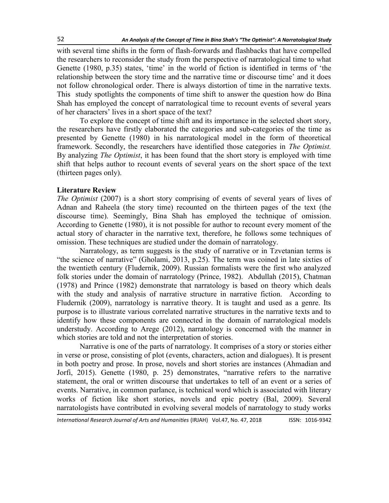with several time shifts in the form of flash-forwards and flashbacks that have compelled the researchers to reconsider the study from the perspective of narratological time to what Genette (1980, p.35) states, 'time' in the world of fiction is identified in terms of 'the relationship between the story time and the narrative time or discourse time' and it does not follow chronological order. There is always distortion of time in the narrative texts. This study spotlights the components of time shift to answer the question how do Bina Shah has employed the concept of narratological time to recount events of several years of her characters' lives in a short space of the text?

To explore the concept of time shift and its importance in the selected short story, the researchers have firstly elaborated the categories and sub-categories of the time as presented by Genette (1980) in his narratological model in the form of theoretical framework. Secondly, the researchers have identified those categories in *The Optimist.* By analyzing *The Optimist*, it has been found that the short story is employed with time shift that helps author to recount events of several years on the short space of the text (thirteen pages only).

### **Literature Review**

*The Optimist* (2007) is a short story comprising of events of several years of lives of Adnan and Raheela (the story time) recounted on the thirteen pages of the text (the discourse time). Seemingly, Bina Shah has employed the technique of omission. According to Genette (1980), it is not possible for author to recount every moment of the actual story of character in the narrative text, therefore, he follows some techniques of omission. These techniques are studied under the domain of narratology.

Narratology, as term suggests is the study of narrative or in Tzvetanian terms is "the science of narrative" (Gholami, 2013, p.25). The term was coined in late sixties of the twentieth century (Fludernik, 2009). Russian formalists were the first who analyzed folk stories under the domain of narratology (Prince, 1982). Abdullah (2015), Chatman (1978) and Prince (1982) demonstrate that narratology is based on theory which deals with the study and analysis of narrative structure in narrative fiction. According to Fludernik (2009), narratology is narrative theory. It is taught and used as a genre. Its purpose is to illustrate various correlated narrative structures in the narrative texts and to identify how these components are connected in the domain of narratological models understudy. According to Arege (2012), narratology is concerned with the manner in which stories are told and not the interpretation of stories.

Narrative is one of the parts of narratology. It comprises of a story or stories either in verse or prose, consisting of plot (events, characters, action and dialogues). It is present in both poetry and prose. In prose, novels and short stories are instances (Ahmadian and Jorfi, 2015). Genette (1980, p. 25) demonstrates, "narrative refers to the narrative statement, the oral or written discourse that undertakes to tell of an event or a series of events. Narrative, in common parlance, is technical word which is associated with literary works of fiction like short stories, novels and epic poetry (Bal, 2009). Several narratologists have contributed in evolving several models of narratology to study works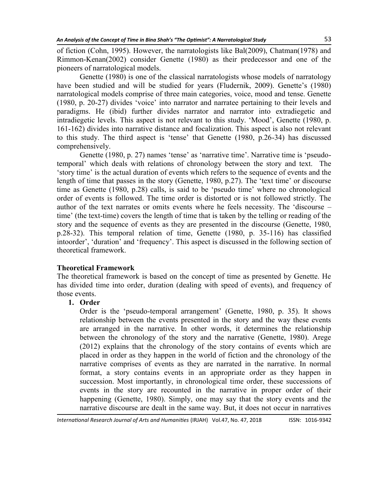of fiction (Cohn, 1995). However, the narratologists like Bal(2009), Chatman(1978) and Rimmon-Kenan(2002) consider Genette (1980) as their predecessor and one of the pioneers of narratological models.

Genette (1980) is one of the classical narratologists whose models of narratology have been studied and will be studied for years (Fludernik, 2009). Genette's (1980) narratological models comprise of three main categories, voice, mood and tense. Genette (1980, p. 20-27) divides ‗voice' into narrator and narratee pertaining to their levels and paradigms. He (ibid) further divides narrator and narrator into extradiegetic and intradiegetic levels. This aspect is not relevant to this study. 'Mood', Genette (1980, p. 161-162) divides into narrative distance and focalization. This aspect is also not relevant to this study. The third aspect is 'tense' that Genette (1980, p.26-34) has discussed comprehensively.

Genette (1980, p. 27) names 'tense' as 'narrative time'. Narrative time is 'pseudotemporal' which deals with relations of chronology between the story and text. The ‗story time' is the actual duration of events which refers to the sequence of events and the length of time that passes in the story (Genette, 1980, p.27). The 'text time' or discourse time as Genette (1980, p.28) calls, is said to be 'pseudo time' where no chronological order of events is followed. The time order is distorted or is not followed strictly. The author of the text narrates or omits events where he feels necessity. The 'discourse – time' (the text-time) covers the length of time that is taken by the telling or reading of the story and the sequence of events as they are presented in the discourse (Genette, 1980, p.28-32). This temporal relation of time, Genette (1980, p. 35-116) has classified intoorder', 'duration' and 'frequency'. This aspect is discussed in the following section of theoretical framework.

# **Theoretical Framework**

The theoretical framework is based on the concept of time as presented by Genette. He has divided time into order, duration (dealing with speed of events), and frequency of those events.

# **1. Order**

Order is the 'pseudo-temporal arrangement' (Genette, 1980, p. 35). It shows relationship between the events presented in the story and the way these events are arranged in the narrative. In other words, it determines the relationship between the chronology of the story and the narrative (Genette, 1980). Arege (2012) explains that the chronology of the story contains of events which are placed in order as they happen in the world of fiction and the chronology of the narrative comprises of events as they are narrated in the narrative. In normal format, a story contains events in an appropriate order as they happen in succession. Most importantly, in chronological time order, these successions of events in the story are recounted in the narrative in proper order of their happening (Genette, 1980). Simply, one may say that the story events and the narrative discourse are dealt in the same way. But, it does not occur in narratives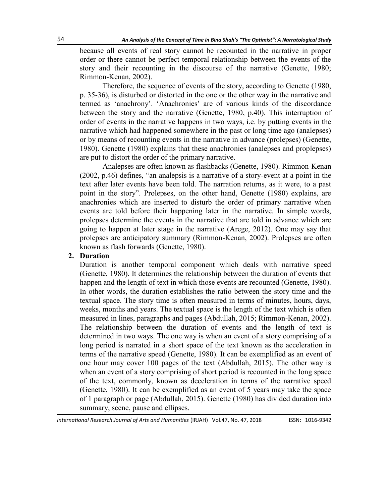because all events of real story cannot be recounted in the narrative in proper order or there cannot be perfect temporal relationship between the events of the story and their recounting in the discourse of the narrative (Genette, 1980; Rimmon-Kenan, 2002).

Therefore, the sequence of events of the story, according to Genette (1980, p. 35-36), is disturbed or distorted in the one or the other way in the narrative and termed as 'anachrony'. 'Anachronies' are of various kinds of the discordance between the story and the narrative (Genette, 1980, p.40). This interruption of order of events in the narrative happens in two ways, i.e. by putting events in the narrative which had happened somewhere in the past or long time ago (analepses) or by means of recounting events in the narrative in advance (prolepses) (Genette, 1980). Genette (1980) explains that these anachronies (analepses and proplepses) are put to distort the order of the primary narrative.

Analepses are often known as flashbacks (Genette, 1980). Rimmon-Kenan  $(2002, p.46)$  defines, "an analepsis is a narrative of a story-event at a point in the text after later events have been told. The narration returns, as it were, to a past point in the story". Prolepses, on the other hand, Genette (1980) explains, are anachronies which are inserted to disturb the order of primary narrative when events are told before their happening later in the narrative. In simple words, prolepses determine the events in the narrative that are told in advance which are going to happen at later stage in the narrative (Arege, 2012). One may say that prolepses are anticipatory summary (Rimmon-Kenan, 2002). Prolepses are often known as flash forwards (Genette, 1980).

#### **2. Duration**

Duration is another temporal component which deals with narrative speed (Genette, 1980). It determines the relationship between the duration of events that happen and the length of text in which those events are recounted (Genette, 1980). In other words, the duration establishes the ratio between the story time and the textual space. The story time is often measured in terms of minutes, hours, days, weeks, months and years. The textual space is the length of the text which is often measured in lines, paragraphs and pages (Abdullah, 2015; Rimmon-Kenan, 2002). The relationship between the duration of events and the length of text is determined in two ways. The one way is when an event of a story comprising of a long period is narrated in a short space of the text known as the acceleration in terms of the narrative speed (Genette, 1980). It can be exemplified as an event of one hour may cover 100 pages of the text (Abdullah, 2015). The other way is when an event of a story comprising of short period is recounted in the long space of the text, commonly, known as deceleration in terms of the narrative speed (Genette, 1980). It can be exemplified as an event of 5 years may take the space of 1 paragraph or page (Abdullah, 2015). Genette (1980) has divided duration into summary, scene, pause and ellipses.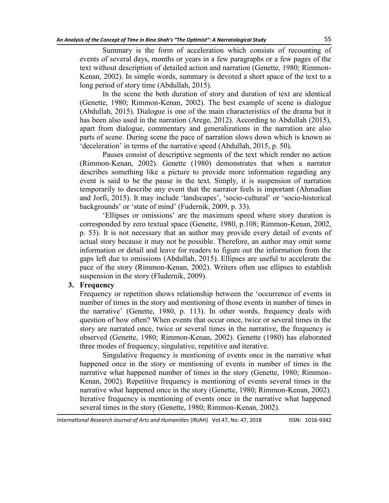Summary is the form of acceleration which consists of recounting of events of several days, months or years in a few paragraphs or a few pages of the text without description of detailed action and narration (Genette, 1980; Rimmon-Kenan, 2002). In simple words, summary is devoted a short space of the text to a long period of story time (Abdullah, 2015).

In the scene the both duration of story and duration of text are identical (Genette, 1980; Rimmon-Kenan, 2002). The best example of scene is dialogue (Abdullah, 2015). Dialogue is one of the main characteristics of the drama but it has been also used in the narration (Arege, 2012). According to Abdullah (2015), apart from dialogue, commentary and generalizations in the narration are also parts of scene. During scene the pace of narration slows down which is known as deceleration' in terms of the narrative speed (Abdullah, 2015, p. 50).

Pauses consist of descriptive segments of the text which render no action (Rimmon-Kenan, 2002). Genette (1980) demonstrates that when a narrator describes something like a picture to provide more information regarding any event is said to be the pause in the text. Simply, it is suspension of narration temporarily to describe any event that the narrator feels is important (Ahmadian and Jorfi, 2015). It may include 'landscapes', 'socio-cultural' or 'socio-historical backgrounds' or 'state of mind' (Fudernik, 2009, p. 33).

‗Ellipses or omissions' are the maximum speed where story duration is corresponded by zero textual space (Genette, 1980, p.108; Rimmon-Kenan, 2002, p. 53). It is not necessary that an author may provide every detail of events of actual story because it may not be possible. Therefore, an author may omit some information or detail and leave for readers to figure out the information from the gaps left due to omissions (Abdullah, 2015). Ellipses are useful to accelerate the pace of the story (Rimmon-Kenan, 2002). Writers often use ellipses to establish suspension in the story (Fludernik, 2009).

### **3. Frequency**

Frequency or repetition shows relationship between the 'occurrence of events in number of times in the story and mentioning of those events in number of times in the narrative' (Genette, 1980, p. 113). In other words, frequency deals with question of how often? When events that occur once, twice or several times in the story are narrated once, twice or several times in the narrative, the frequency is observed (Genette, 1980; Rimmon-Kenan, 2002). Genette (1980) has elaborated three modes of frequency, singulative, repetitive and iterative.

Singulative frequency is mentioning of events once in the narrative what happened once in the story or mentioning of events in number of times in the narrative what happened number of times in the story (Genette, 1980; Rimmon-Kenan, 2002). Repetitive frequency is mentioning of events several times in the narrative what happened once in the story (Genette, 1980; Rimmon-Kenan, 2002). Iterative frequency is mentioning of events once in the narrative what happened several times in the story (Genette, 1980; Rimmon-Kenan, 2002).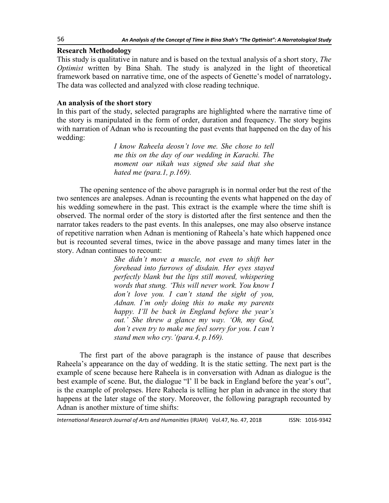### **Research Methodology**

This study is qualitative in nature and is based on the textual analysis of a short story, *The Optimist* written by Bina Shah. The study is analyzed in the light of theoretical framework based on narrative time, one of the aspects of Genette's model of narratology**.**  The data was collected and analyzed with close reading technique.

# **An analysis of the short story**

In this part of the study, selected paragraphs are highlighted where the narrative time of the story is manipulated in the form of order, duration and frequency. The story begins with narration of Adnan who is recounting the past events that happened on the day of his wedding:

> *I know Raheela deosn't love me. She chose to tell me this on the day of our wedding in Karachi. The moment our nikah was signed she said that she hated me (para.1, p.169).*

The opening sentence of the above paragraph is in normal order but the rest of the two sentences are analepses. Adnan is recounting the events what happened on the day of his wedding somewhere in the past. This extract is the example where the time shift is observed. The normal order of the story is distorted after the first sentence and then the narrator takes readers to the past events. In this analepses, one may also observe instance of repetitive narration when Adnan is mentioning of Raheela's hate which happened once but is recounted several times, twice in the above passage and many times later in the story. Adnan continues to recount:

> *She didn't move a muscle, not even to shift her forehead into furrows of disdain. Her eyes stayed perfectly blank but the lips still moved, whispering words that stung. ‗This will never work. You know I don't love you. I can't stand the sight of you, Adnan. I'm only doing this to make my parents happy. I'll be back in England before the year's out.' She threw a glance my way. ‗Oh, my God, don't even try to make me feel sorry for you. I can't stand men who cry.'(para.4, p.169).*

The first part of the above paragraph is the instance of pause that describes Raheela's appearance on the day of wedding. It is the static setting. The next part is the example of scene because here Raheela is in conversation with Adnan as dialogue is the best example of scene. But, the dialogue "I' ll be back in England before the year's out", is the example of prolepses. Here Raheela is telling her plan in advance in the story that happens at the later stage of the story. Moreover, the following paragraph recounted by Adnan is another mixture of time shifts: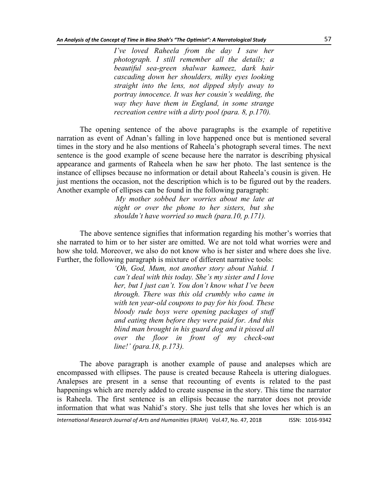*I've loved Raheela from the day I saw her photograph. I still remember all the details; a beautiful sea-green shalwar kameez, dark hair cascading down her shoulders, milky eyes looking straight into the lens, not dipped shyly away to portray innocence. It was her cousin's wedding, the way they have them in England, in some strange recreation centre with a dirty pool (para. 8, p.170).*

The opening sentence of the above paragraphs is the example of repetitive narration as event of Adnan's falling in love happened once but is mentioned several times in the story and he also mentions of Raheela's photograph several times. The next sentence is the good example of scene because here the narrator is describing physical appearance and garments of Raheela when he saw her photo. The last sentence is the instance of ellipses because no information or detail about Raheela's cousin is given. He just mentions the occasion, not the description which is to be figured out by the readers. Another example of ellipses can be found in the following paragraph:

> *My mother sobbed her worries about me late at night or over the phone to her sisters, but she shouldn't have worried so much (para.10, p.171).*

The above sentence signifies that information regarding his mother's worries that she narrated to him or to her sister are omitted. We are not told what worries were and how she told. Moreover, we also do not know who is her sister and where does she live. Further, the following paragraph is mixture of different narrative tools:

> *‗Oh, God, Mum, not another story about Nahid. I can't deal with this today. She's my sister and I love her, but I just can't. You don't know what I've been through. There was this old crumbly who came in with ten year-old coupons to pay for his food. These bloody rude boys were opening packages of stuff and eating them before they were paid for. And this blind man brought in his guard dog and it pissed all over the floor in front of my check-out line!' (para.18, p.173).*

The above paragraph is another example of pause and analepses which are encompassed with ellipses. The pause is created because Raheela is uttering dialogues. Analepses are present in a sense that recounting of events is related to the past happenings which are merely added to create suspense in the story. This time the narrator is Raheela. The first sentence is an ellipsis because the narrator does not provide information that what was Nahid's story. She just tells that she loves her which is an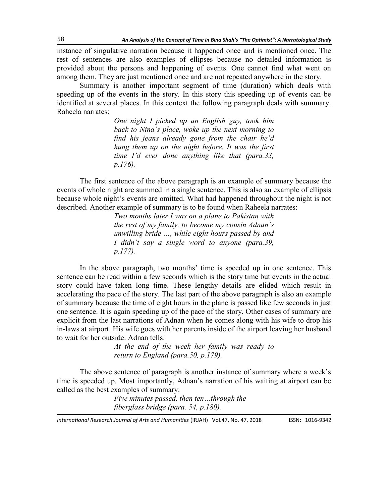instance of singulative narration because it happened once and is mentioned once. The rest of sentences are also examples of ellipses because no detailed information is provided about the persons and happening of events. One cannot find what went on among them. They are just mentioned once and are not repeated anywhere in the story.

Summary is another important segment of time (duration) which deals with speeding up of the events in the story. In this story this speeding up of events can be identified at several places. In this context the following paragraph deals with summary. Raheela narrates:

> *One night I picked up an English guy, took him back to Nina's place, woke up the next morning to find his jeans already gone from the chair he'd hung them up on the night before. It was the first time I'd ever done anything like that (para.33, p.176).*

The first sentence of the above paragraph is an example of summary because the events of whole night are summed in a single sentence. This is also an example of ellipsis because whole night's events are omitted. What had happened throughout the night is not described. Another example of summary is to be found when Raheela narrates:

> *Two months later I was on a plane to Pakistan with the rest of my family, to become my cousin Adnan's unwilling bride …, while eight hours passed by and I didn't say a single word to anyone (para.39, p.177).*

In the above paragraph, two months' time is speeded up in one sentence. This sentence can be read within a few seconds which is the story time but events in the actual story could have taken long time. These lengthy details are elided which result in accelerating the pace of the story. The last part of the above paragraph is also an example of summary because the time of eight hours in the plane is passed like few seconds in just one sentence. It is again speeding up of the pace of the story. Other cases of summary are explicit from the last narrations of Adnan when he comes along with his wife to drop his in-laws at airport. His wife goes with her parents inside of the airport leaving her husband to wait for her outside. Adnan tells:

> *At the end of the week her family was ready to return to England (para.50, p.179).*

The above sentence of paragraph is another instance of summary where a week's time is speeded up. Most importantly, Adnan's narration of his waiting at airport can be called as the best examples of summary:

> *Five minutes passed, then ten…through the fiberglass bridge (para. 54, p.180).*

*International Research Journal of Arts and Humanities* (IRJAH) Vol.47, No. 47, 2018 **ISSN: 1016-9342**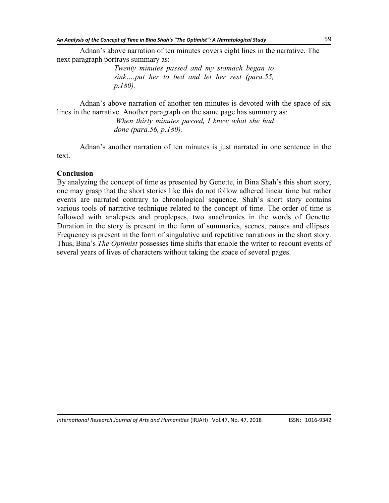Adnan's above narration of ten minutes covers eight lines in the narrative. The next paragraph portrays summary as:

> *Twenty minutes passed and my stomach began to sink….put her to bed and let her rest (para.55, p.180).*

Adnan's above narration of another ten minutes is devoted with the space of six lines in the narrative. Another paragraph on the same page has summary as:

> *When thirty minutes passed, I knew what she had done (para.56, p.180).*

Adnan's another narration of ten minutes is just narrated in one sentence in the text.

#### **Conclusion**

By analyzing the concept of time as presented by Genette, in Bina Shah's this short story, one may grasp that the short stories like this do not follow adhered linear time but rather events are narrated contrary to chronological sequence. Shah's short story contains various tools of narrative technique related to the concept of time. The order of time is followed with analepses and proplepses, two anachronies in the words of Genette. Duration in the story is present in the form of summaries, scenes, pauses and ellipses. Frequency is present in the form of singulative and repetitive narrations in the short story. Thus, Bina's *The Optimist* possesses time shifts that enable the writer to recount events of several years of lives of characters without taking the space of several pages.